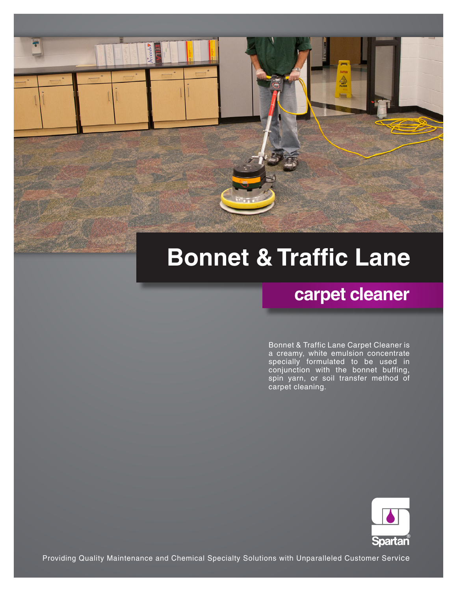# **Bonnet & Traffic Lane**

## **carpet cleaner**

Bonnet & Traffic Lane Carpet Cleaner is a creamy, white emulsion concentrate specially formulated to be used in conjunction with the bonnet buffing, spin yarn, or soil transfer method of carpet cleaning.



Providing Quality Maintenance and Chemical Specialty Solutions with Unparalleled Customer Service